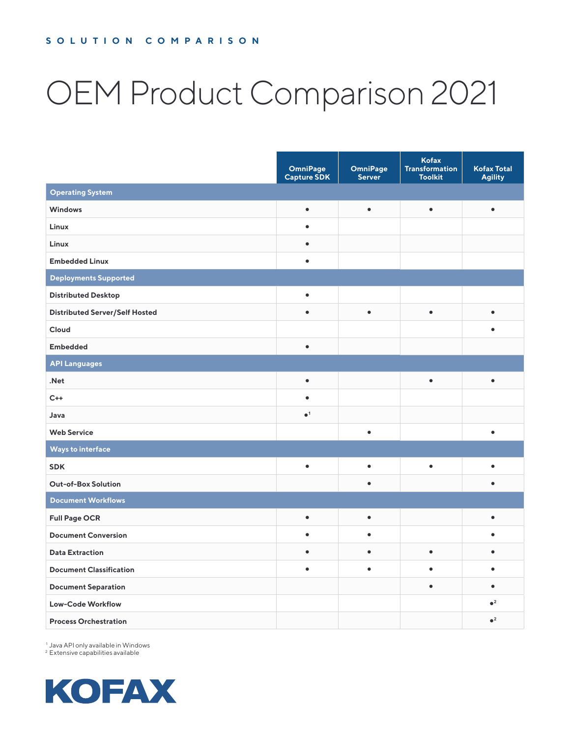# OEM Product Comparison 2021

|                                       | <b>OmniPage</b><br><b>Capture SDK</b> | <b>OmniPage</b><br><b>Server</b> | Kofax<br><b>Transformation</b><br><b>Toolkit</b> | <b>Kofax Total</b><br><b>Agility</b> |
|---------------------------------------|---------------------------------------|----------------------------------|--------------------------------------------------|--------------------------------------|
| <b>Operating System</b>               |                                       |                                  |                                                  |                                      |
| <b>Windows</b>                        | $\bullet$                             | $\bullet$                        | $\bullet$                                        | $\bullet$                            |
| Linux                                 | $\bullet$                             |                                  |                                                  |                                      |
| Linux                                 | $\bullet$                             |                                  |                                                  |                                      |
| <b>Embedded Linux</b>                 | $\bullet$                             |                                  |                                                  |                                      |
| <b>Deployments Supported</b>          |                                       |                                  |                                                  |                                      |
| <b>Distributed Desktop</b>            | $\bullet$                             |                                  |                                                  |                                      |
| <b>Distributed Server/Self Hosted</b> | $\bullet$                             | $\bullet$                        | $\bullet$                                        | $\bullet$                            |
| Cloud                                 |                                       |                                  |                                                  |                                      |
| <b>Embedded</b>                       | $\bullet$                             |                                  |                                                  |                                      |
| <b>API Languages</b>                  |                                       |                                  |                                                  |                                      |
| .Net                                  | $\bullet$                             |                                  | $\bullet$                                        | $\bullet$                            |
| $C++$                                 | $\bullet$                             |                                  |                                                  |                                      |
| Java                                  | $\bullet$ <sup>1</sup>                |                                  |                                                  |                                      |
| <b>Web Service</b>                    |                                       | $\bullet$                        |                                                  | $\bullet$                            |
| Ways to interface                     |                                       |                                  |                                                  |                                      |
| <b>SDK</b>                            | $\bullet$                             | $\bullet$                        | $\bullet$                                        | $\bullet$                            |
| <b>Out-of-Box Solution</b>            |                                       | $\bullet$                        |                                                  |                                      |
| <b>Document Workflows</b>             |                                       |                                  |                                                  |                                      |
| <b>Full Page OCR</b>                  | $\bullet$                             | $\bullet$                        |                                                  | $\bullet$                            |
| <b>Document Conversion</b>            | $\bullet$                             | ٠                                |                                                  |                                      |
| <b>Data Extraction</b>                | $\bullet$                             | $\bullet$                        | $\bullet$                                        | $\bullet$                            |
| <b>Document Classification</b>        | $\bullet$                             | $\bullet$                        |                                                  |                                      |
| <b>Document Separation</b>            |                                       |                                  | $\bullet$                                        | $\bullet$                            |
| <b>Low-Code Workflow</b>              |                                       |                                  |                                                  | $\bullet^2$                          |
| <b>Process Orchestration</b>          |                                       |                                  |                                                  | $\bullet^2$                          |

<sup>1</sup> Java API only available in Windows <sup>2</sup> Extensive capabilities available

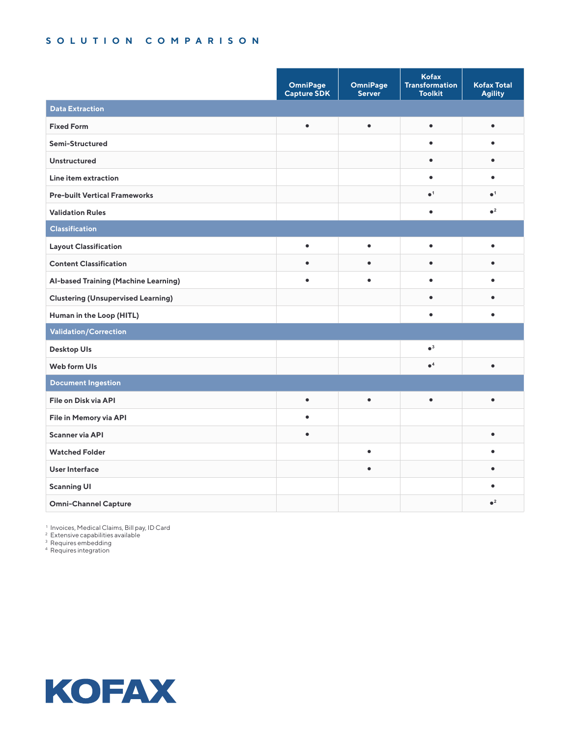|                                           | <b>OmniPage</b><br><b>Capture SDK</b> | <b>OmniPage</b><br>Server | Kofax<br><b>Transformation</b><br><b>Toolkit</b> | <b>Kofax Total</b><br><b>Agility</b> |  |
|-------------------------------------------|---------------------------------------|---------------------------|--------------------------------------------------|--------------------------------------|--|
| <b>Data Extraction</b>                    |                                       |                           |                                                  |                                      |  |
| <b>Fixed Form</b>                         | $\bullet$                             | $\bullet$                 | $\bullet$                                        | $\bullet$                            |  |
| Semi-Structured                           |                                       |                           | $\bullet$                                        |                                      |  |
| <b>Unstructured</b>                       |                                       |                           | $\bullet$                                        | $\bullet$                            |  |
| Line item extraction                      |                                       |                           | $\bullet$                                        | $\bullet$                            |  |
| <b>Pre-built Vertical Frameworks</b>      |                                       |                           | $\bullet$ <sup>1</sup>                           | $\bullet$ <sup>1</sup>               |  |
| <b>Validation Rules</b>                   |                                       |                           | $\bullet$                                        | $\bullet^2$                          |  |
| Classification                            |                                       |                           |                                                  |                                      |  |
| <b>Layout Classification</b>              | $\bullet$                             | $\bullet$                 | $\bullet$                                        | ٠                                    |  |
| <b>Content Classification</b>             | $\bullet$                             | ٠                         | $\bullet$                                        |                                      |  |
| Al-based Training (Machine Learning)      |                                       | ٠                         | $\bullet$                                        |                                      |  |
| <b>Clustering (Unsupervised Learning)</b> |                                       |                           | $\bullet$                                        |                                      |  |
| Human in the Loop (HITL)                  |                                       |                           | $\bullet$                                        | ٠                                    |  |
| Validation/Correction                     |                                       |                           |                                                  |                                      |  |
| Desktop Uls                               |                                       |                           | $\bullet^3$                                      |                                      |  |
| Web form UIs                              |                                       |                           | $\bullet^4$                                      | $\bullet$                            |  |
| <b>Document Ingestion</b>                 |                                       |                           |                                                  |                                      |  |
| File on Disk via API                      | $\bullet$                             | $\bullet$                 | $\bullet$                                        | $\bullet$                            |  |
| File in Memory via API                    | $\bullet$                             |                           |                                                  |                                      |  |
| Scanner via API                           | $\bullet$                             |                           |                                                  | $\bullet$                            |  |
| <b>Watched Folder</b>                     |                                       | $\bullet$                 |                                                  |                                      |  |
| User Interface                            |                                       | $\bullet$                 |                                                  |                                      |  |
| <b>Scanning UI</b>                        |                                       |                           |                                                  |                                      |  |
| <b>Omni-Channel Capture</b>               |                                       |                           |                                                  | $\bullet^2$                          |  |

<sup>1</sup> Invoices, Medical Claims, Bill pay, ID Card

<sup>2</sup> Extensive capabilities available

<sup>3</sup> Requires embedding

<sup>4</sup> Requires integration

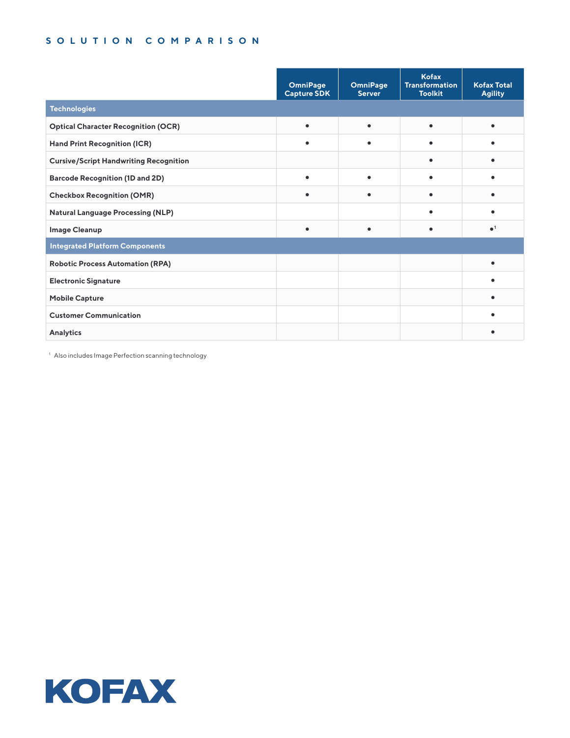|                                               | OmniPage<br><b>Capture SDK</b> | <b>OmniPage</b><br><b>Server</b> | <b>Kofax</b><br><b>Transformation</b><br><b>Toolkit</b> | <b>Kofax Total</b><br><b>Agility</b> |
|-----------------------------------------------|--------------------------------|----------------------------------|---------------------------------------------------------|--------------------------------------|
| <b>Technologies</b>                           |                                |                                  |                                                         |                                      |
| <b>Optical Character Recognition (OCR)</b>    | $\bullet$                      | $\bullet$                        | $\bullet$                                               |                                      |
| <b>Hand Print Recognition (ICR)</b>           | $\bullet$                      | $\bullet$                        | $\bullet$                                               |                                      |
| <b>Cursive/Script Handwriting Recognition</b> |                                |                                  |                                                         |                                      |
| <b>Barcode Recognition (1D and 2D)</b>        |                                | ٠                                |                                                         |                                      |
| <b>Checkbox Recognition (OMR)</b>             |                                | $\bullet$                        |                                                         |                                      |
| <b>Natural Language Processing (NLP)</b>      |                                |                                  |                                                         |                                      |
| <b>Image Cleanup</b>                          |                                | $\bullet$                        | ٠                                                       | $\bullet$ <sup>1</sup>               |
| <b>Integrated Platform Components</b>         |                                |                                  |                                                         |                                      |
| <b>Robotic Process Automation (RPA)</b>       |                                |                                  |                                                         |                                      |
| <b>Electronic Signature</b>                   |                                |                                  |                                                         |                                      |
| <b>Mobile Capture</b>                         |                                |                                  |                                                         |                                      |
| <b>Customer Communication</b>                 |                                |                                  |                                                         |                                      |
| Analytics                                     |                                |                                  |                                                         |                                      |

<sup>1</sup> Also includes Image Perfection scanning technology